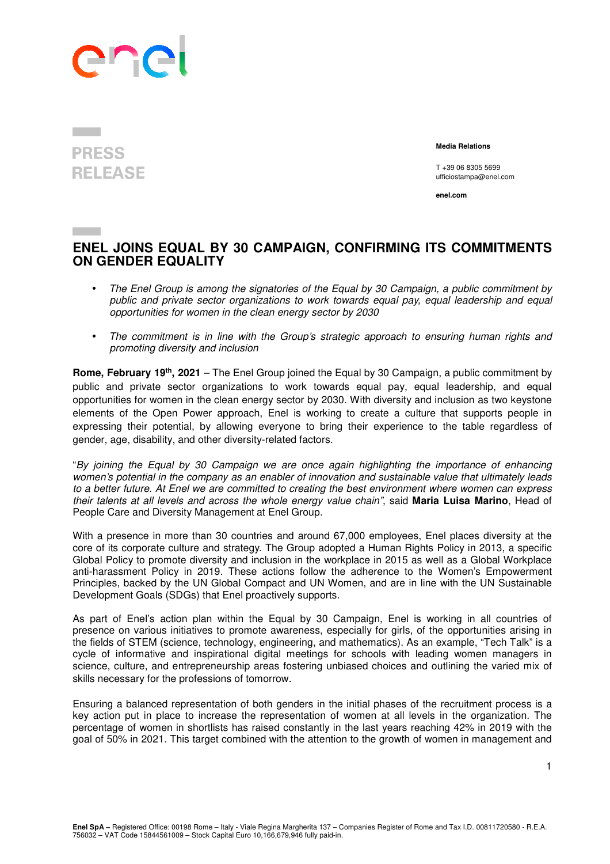

## **PRESS RELEASE**

 **Media Relations** 

T +39 06 8305 5699 ufficiostampa@enel.com

**enel.com**

## **ENEL JOINS EQUAL BY 30 CAMPAIGN, CONFIRMING ITS COMMITMENTS ON GENDER EQUALITY**

- The Enel Group is among the signatories of the Equal by 30 Campaign, a public commitment by public and private sector organizations to work towards equal pay, equal leadership and equal opportunities for women in the clean energy sector by 2030
- The commitment is in line with the Group's strategic approach to ensuring human rights and promoting diversity and inclusion

**Rome, February 19th, 2021** – The Enel Group joined the Equal by 30 Campaign, a public commitment by public and private sector organizations to work towards equal pay, equal leadership, and equal opportunities for women in the clean energy sector by 2030. With diversity and inclusion as two keystone elements of the Open Power approach, Enel is working to create a culture that supports people in expressing their potential, by allowing everyone to bring their experience to the table regardless of gender, age, disability, and other diversity-related factors.

"By joining the Equal by 30 Campaign we are once again highlighting the importance of enhancing women's potential in the company as an enabler of innovation and sustainable value that ultimately leads to a better future. At Enel we are committed to creating the best environment where women can express their talents at all levels and across the whole energy value chain", said **Maria Luisa Marino**, Head of People Care and Diversity Management at Enel Group.

With a presence in more than 30 countries and around 67,000 employees. Enel places diversity at the core of its corporate culture and strategy. The Group adopted a Human Rights Policy in 2013, a specific Global Policy to promote diversity and inclusion in the workplace in 2015 as well as a Global Workplace anti-harassment Policy in 2019. These actions follow the adherence to the Women's Empowerment Principles, backed by the UN Global Compact and UN Women, and are in line with the UN Sustainable Development Goals (SDGs) that Enel proactively supports.

As part of Enel's action plan within the Equal by 30 Campaign, Enel is working in all countries of presence on various initiatives to promote awareness, especially for girls, of the opportunities arising in the fields of STEM (science, technology, engineering, and mathematics). As an example, "Tech Talk" is a cycle of informative and inspirational digital meetings for schools with leading women managers in science, culture, and entrepreneurship areas fostering unbiased choices and outlining the varied mix of skills necessary for the professions of tomorrow.

Ensuring a balanced representation of both genders in the initial phases of the recruitment process is a key action put in place to increase the representation of women at all levels in the organization. The percentage of women in shortlists has raised constantly in the last years reaching 42% in 2019 with the goal of 50% in 2021. This target combined with the attention to the growth of women in management and